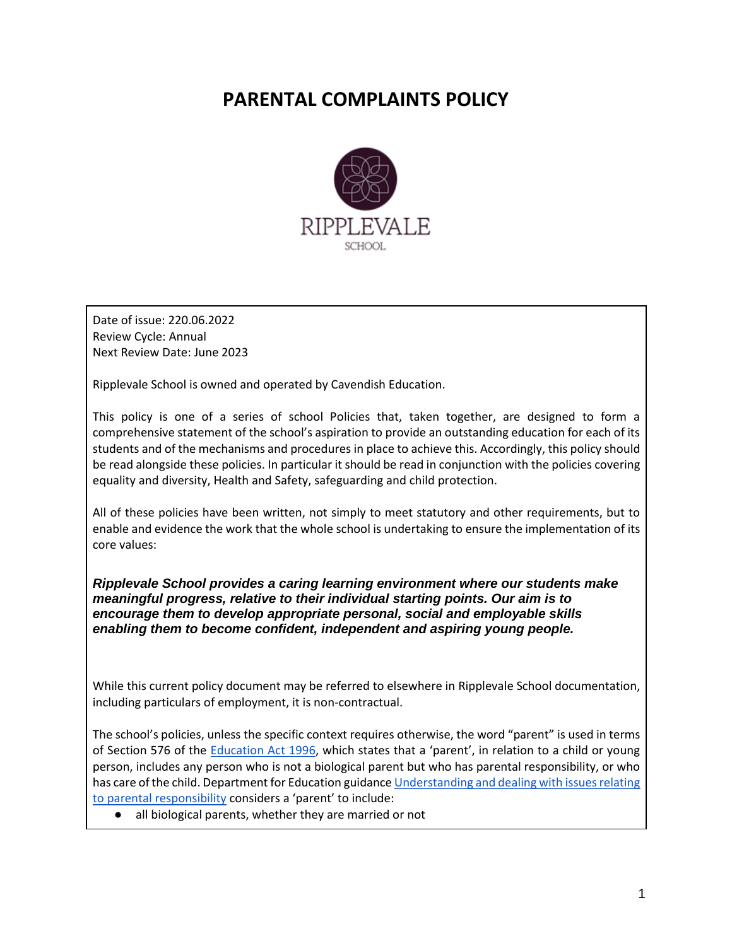# **PARENTAL COMPLAINTS POLICY**



Date of issue: 220.06.2022 Review Cycle: Annual Next Review Date: June 2023

Ripplevale School is owned and operated by Cavendish Education.

This policy is one of a series of school Policies that, taken together, are designed to form a comprehensive statement of the school's aspiration to provide an outstanding education for each of its students and of the mechanisms and procedures in place to achieve this. Accordingly, this policy should be read alongside these policies. In particular it should be read in conjunction with the policies covering equality and diversity, Health and Safety, safeguarding and child protection.

All of these policies have been written, not simply to meet statutory and other requirements, but to enable and evidence the work that the whole school is undertaking to ensure the implementation of its core values:

*Ripplevale School provides a caring learning environment where our students make meaningful progress, relative to their individual starting points. Our aim is to encourage them to develop appropriate personal, social and employable skills enabling them to become confident, independent and aspiring young people.*

While this current policy document may be referred to elsewhere in Ripplevale School documentation, including particulars of employment, it is non-contractual.

The school's policies, unless the specific context requires otherwise, the word "parent" is used in terms of Section 576 of the [Education Act 1996](https://www.legislation.gov.uk/ukpga/1996/56/contents), which states that a 'parent', in relation to a child or young person, includes any person who is not a biological parent but who has parental responsibility, or who has care of the child. Department for Education guidanc[e Understanding and dealing with issues relating](https://www.gov.uk/government/publications/dealing-with-issues-relating-to-parental-responsibility/understanding-and-dealing-with-issues-relating-to-parental-responsibility)  [to parental responsibility](https://www.gov.uk/government/publications/dealing-with-issues-relating-to-parental-responsibility/understanding-and-dealing-with-issues-relating-to-parental-responsibility) considers a 'parent' to include:

● all biological parents, whether they are married or not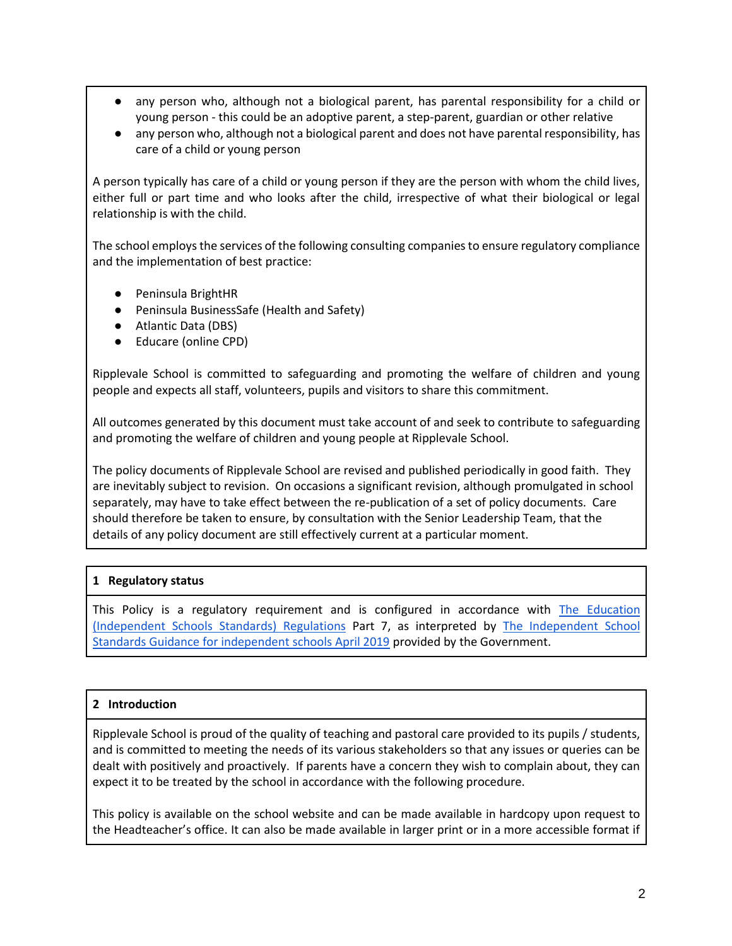- any person who, although not a biological parent, has parental responsibility for a child or young person - this could be an adoptive parent, a step-parent, guardian or other relative
- any person who, although not a biological parent and does not have parental responsibility, has care of a child or young person

A person typically has care of a child or young person if they are the person with whom the child lives, either full or part time and who looks after the child, irrespective of what their biological or legal relationship is with the child.

The school employs the services of the following consulting companies to ensure regulatory compliance and the implementation of best practice:

- Peninsula BrightHR
- Peninsula BusinessSafe (Health and Safety)
- Atlantic Data (DBS)
- Educare (online CPD)

Ripplevale School is committed to safeguarding and promoting the welfare of children and young people and expects all staff, volunteers, pupils and visitors to share this commitment.

All outcomes generated by this document must take account of and seek to contribute to safeguarding and promoting the welfare of children and young people at Ripplevale School.

The policy documents of Ripplevale School are revised and published periodically in good faith. They are inevitably subject to revision. On occasions a significant revision, although promulgated in school separately, may have to take effect between the re-publication of a set of policy documents. Care should therefore be taken to ensure, by consultation with the Senior Leadership Team, that the details of any policy document are still effectively current at a particular moment.

# **1 Regulatory status**

This Policy is a regulatory requirement and is configured in accordance with The Education [\(Independent Schools Standards\) Regulations](https://www.legislation.gov.uk/uksi/2014/3283/pdfs/uksi_20143283_en.pdf) Part 7, as interpreted by [The Independent School](https://assets.publishing.service.gov.uk/government/uploads/system/uploads/attachment_data/file/800615/Independent_School_Standards-_Guidance_070519.pdf)  [Standards Guidance for independent schools April 2019](https://assets.publishing.service.gov.uk/government/uploads/system/uploads/attachment_data/file/800615/Independent_School_Standards-_Guidance_070519.pdf) provided by the Government.

# **2 Introduction**

Ripplevale School is proud of the quality of teaching and pastoral care provided to its pupils / students, and is committed to meeting the needs of its various stakeholders so that any issues or queries can be dealt with positively and proactively. If parents have a concern they wish to complain about, they can expect it to be treated by the school in accordance with the following procedure.

This policy is available on the school website and can be made available in hardcopy upon request to the Headteacher's office. It can also be made available in larger print or in a more accessible format if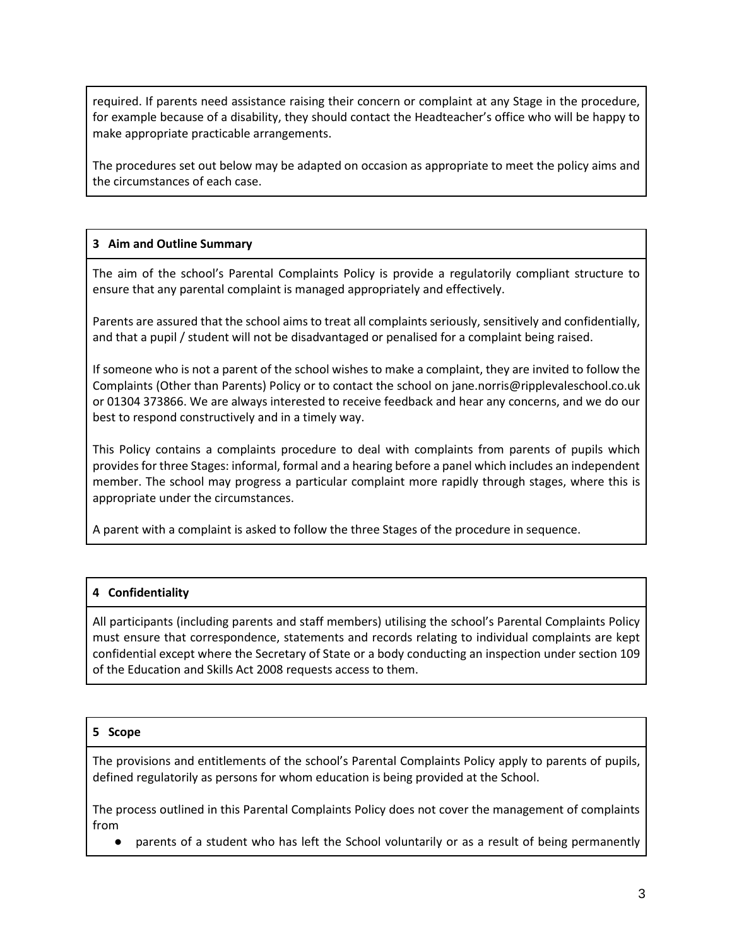required. If parents need assistance raising their concern or complaint at any Stage in the procedure, for example because of a disability, they should contact the Headteacher's office who will be happy to make appropriate practicable arrangements.

The procedures set out below may be adapted on occasion as appropriate to meet the policy aims and the circumstances of each case.

# **3 Aim and Outline Summary**

The aim of the school's Parental Complaints Policy is provide a regulatorily compliant structure to ensure that any parental complaint is managed appropriately and effectively.

Parents are assured that the school aims to treat all complaints seriously, sensitively and confidentially, and that a pupil / student will not be disadvantaged or penalised for a complaint being raised.

If someone who is not a parent of the school wishes to make a complaint, they are invited to follow the Complaints (Other than Parents) Policy or to contact the school on jane.norris@ripplevaleschool.co.uk or 01304 373866. We are always interested to receive feedback and hear any concerns, and we do our best to respond constructively and in a timely way.

This Policy contains a complaints procedure to deal with complaints from parents of pupils which provides for three Stages: informal, formal and a hearing before a panel which includes an independent member. The school may progress a particular complaint more rapidly through stages, where this is appropriate under the circumstances.

A parent with a complaint is asked to follow the three Stages of the procedure in sequence.

# **4 Confidentiality**

All participants (including parents and staff members) utilising the school's Parental Complaints Policy must ensure that correspondence, statements and records relating to individual complaints are kept confidential except where the Secretary of State or a body conducting an inspection under section 109 of the Education and Skills Act 2008 requests access to them.

#### **5 Scope**

The provisions and entitlements of the school's Parental Complaints Policy apply to parents of pupils, defined regulatorily as persons for whom education is being provided at the School.

The process outlined in this Parental Complaints Policy does not cover the management of complaints from

parents of a student who has left the School voluntarily or as a result of being permanently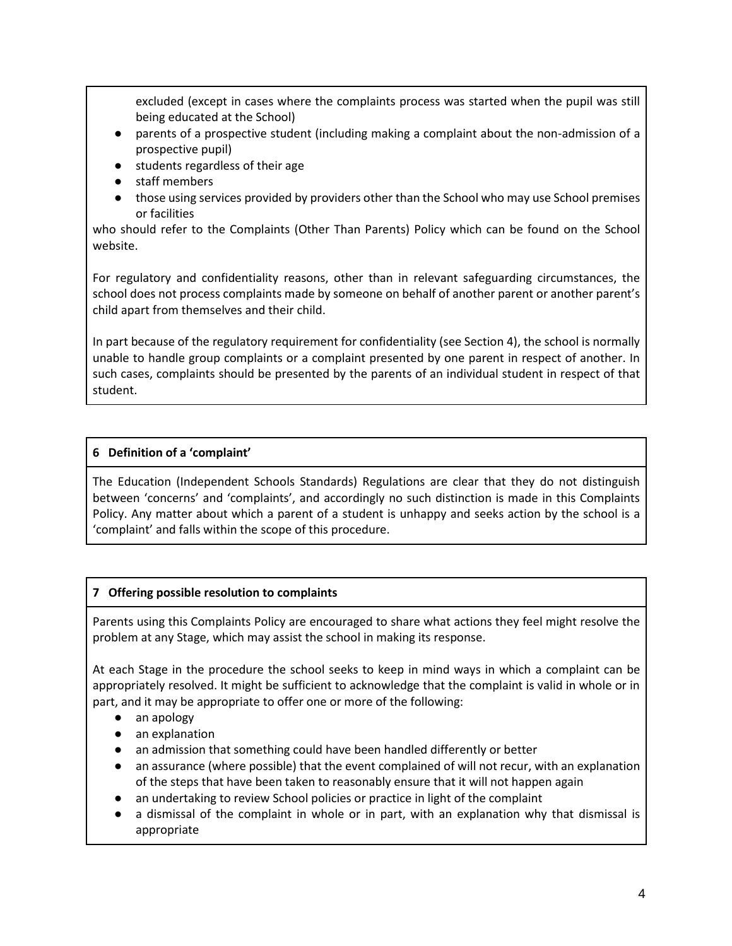excluded (except in cases where the complaints process was started when the pupil was still being educated at the School)

- parents of a prospective student (including making a complaint about the non-admission of a prospective pupil)
- students regardless of their age
- staff members
- those using services provided by providers other than the School who may use School premises or facilities

who should refer to the Complaints (Other Than Parents) Policy which can be found on the School website.

For regulatory and confidentiality reasons, other than in relevant safeguarding circumstances, the school does not process complaints made by someone on behalf of another parent or another parent's child apart from themselves and their child.

In part because of the regulatory requirement for confidentiality (see Section 4), the school is normally unable to handle group complaints or a complaint presented by one parent in respect of another. In such cases, complaints should be presented by the parents of an individual student in respect of that student.

# **6 Definition of a 'complaint'**

The Education (Independent Schools Standards) Regulations are clear that they do not distinguish between 'concerns' and 'complaints', and accordingly no such distinction is made in this Complaints Policy. Any matter about which a parent of a student is unhappy and seeks action by the school is a 'complaint' and falls within the scope of this procedure.

# **7 Offering possible resolution to complaints**

Parents using this Complaints Policy are encouraged to share what actions they feel might resolve the problem at any Stage, which may assist the school in making its response.

At each Stage in the procedure the school seeks to keep in mind ways in which a complaint can be appropriately resolved. It might be sufficient to acknowledge that the complaint is valid in whole or in part, and it may be appropriate to offer one or more of the following:

- an apology
- an explanation
- an admission that something could have been handled differently or better
- an assurance (where possible) that the event complained of will not recur, with an explanation of the steps that have been taken to reasonably ensure that it will not happen again
- an undertaking to review School policies or practice in light of the complaint
- a dismissal of the complaint in whole or in part, with an explanation why that dismissal is appropriate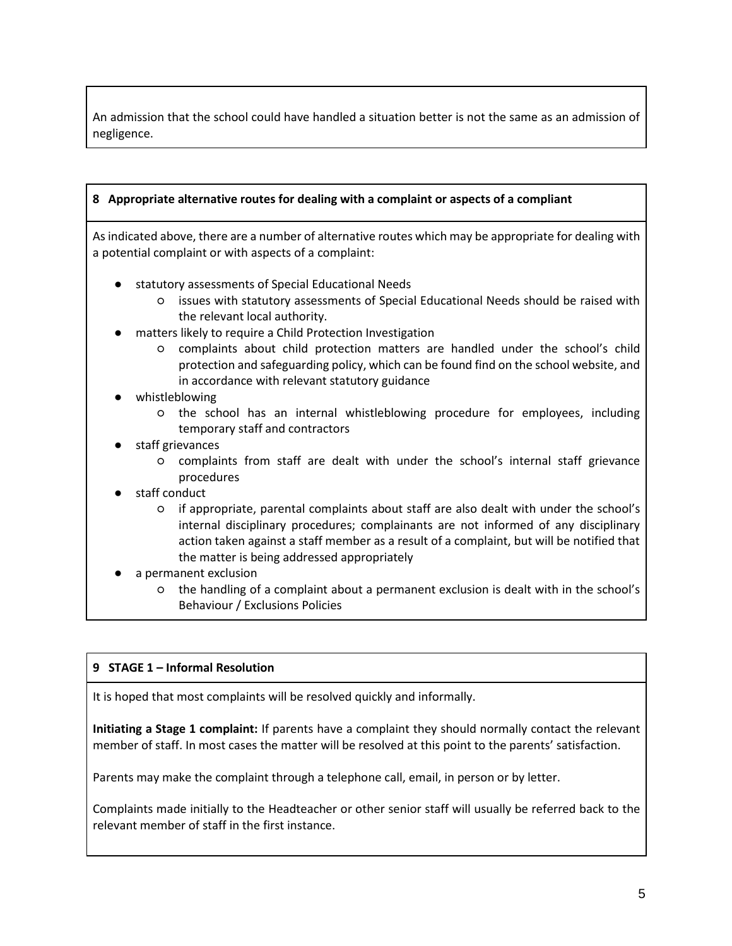An admission that the school could have handled a situation better is not the same as an admission of negligence.

#### **8 Appropriate alternative routes for dealing with a complaint or aspects of a compliant**

As indicated above, there are a number of alternative routes which may be appropriate for dealing with a potential complaint or with aspects of a complaint:

- statutory assessments of Special Educational Needs
	- issues with statutory assessments of Special Educational Needs should be raised with the relevant local authority.
- matters likely to require a Child Protection Investigation
	- complaints about child protection matters are handled under the school's child protection and safeguarding policy, which can be found find on the school website, and in accordance with relevant statutory guidance
- whistleblowing
	- the school has an internal whistleblowing procedure for employees, including temporary staff and contractors
- staff grievances
	- complaints from staff are dealt with under the school's internal staff grievance procedures
- staff conduct
	- if appropriate, parental complaints about staff are also dealt with under the school's internal disciplinary procedures; complainants are not informed of any disciplinary action taken against a staff member as a result of a complaint, but will be notified that the matter is being addressed appropriately
- a permanent exclusion
	- the handling of a complaint about a permanent exclusion is dealt with in the school's Behaviour / Exclusions Policies

# **9 STAGE 1 – Informal Resolution**

It is hoped that most complaints will be resolved quickly and informally.

**Initiating a Stage 1 complaint:** If parents have a complaint they should normally contact the relevant member of staff. In most cases the matter will be resolved at this point to the parents' satisfaction.

Parents may make the complaint through a telephone call, email, in person or by letter.

Complaints made initially to the Headteacher or other senior staff will usually be referred back to the relevant member of staff in the first instance.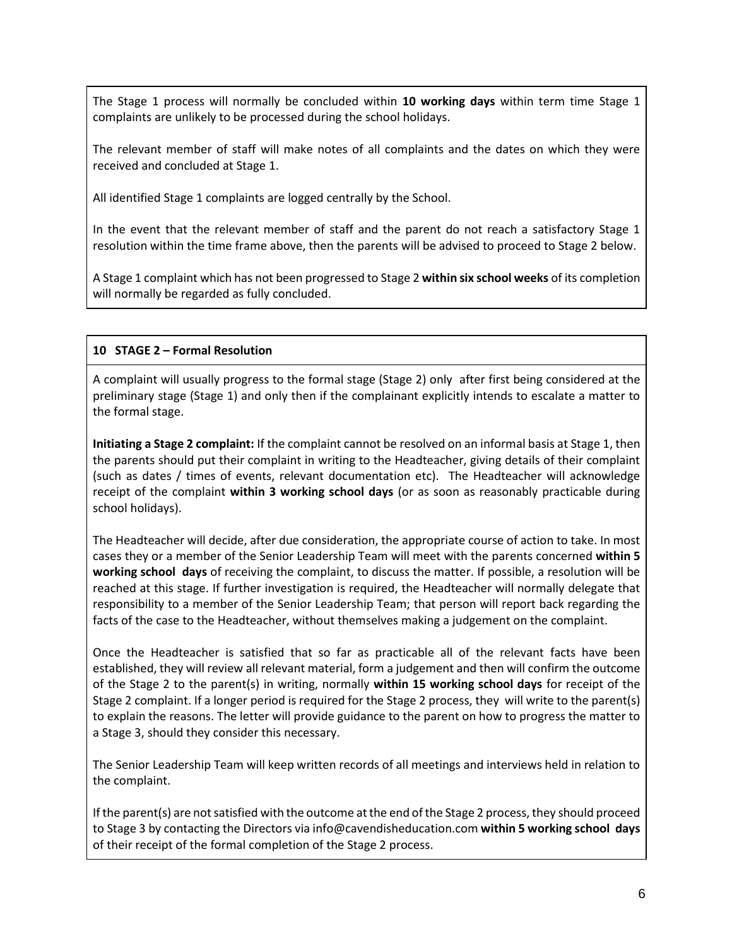The Stage 1 process will normally be concluded within **10 working days** within term time Stage 1 complaints are unlikely to be processed during the school holidays.

The relevant member of staff will make notes of all complaints and the dates on which they were received and concluded at Stage 1.

All identified Stage 1 complaints are logged centrally by the School.

In the event that the relevant member of staff and the parent do not reach a satisfactory Stage 1 resolution within the time frame above, then the parents will be advised to proceed to Stage 2 below.

A Stage 1 complaint which has not been progressed to Stage 2 **within six school weeks** of its completion will normally be regarded as fully concluded.

# **10 STAGE 2 – Formal Resolution**

A complaint will usually progress to the formal stage (Stage 2) only after first being considered at the preliminary stage (Stage 1) and only then if the complainant explicitly intends to escalate a matter to the formal stage.

**Initiating a Stage 2 complaint:** If the complaint cannot be resolved on an informal basis at Stage 1, then the parents should put their complaint in writing to the Headteacher, giving details of their complaint (such as dates / times of events, relevant documentation etc). The Headteacher will acknowledge receipt of the complaint **within 3 working school days** (or as soon as reasonably practicable during school holidays).

The Headteacher will decide, after due consideration, the appropriate course of action to take. In most cases they or a member of the Senior Leadership Team will meet with the parents concerned **within 5 working school days** of receiving the complaint, to discuss the matter. If possible, a resolution will be reached at this stage. If further investigation is required, the Headteacher will normally delegate that responsibility to a member of the Senior Leadership Team; that person will report back regarding the facts of the case to the Headteacher, without themselves making a judgement on the complaint.

Once the Headteacher is satisfied that so far as practicable all of the relevant facts have been established, they will review all relevant material, form a judgement and then will confirm the outcome of the Stage 2 to the parent(s) in writing, normally **within 15 working school days** for receipt of the Stage 2 complaint. If a longer period is required for the Stage 2 process, they will write to the parent(s) to explain the reasons. The letter will provide guidance to the parent on how to progress the matter to a Stage 3, should they consider this necessary.

The Senior Leadership Team will keep written records of all meetings and interviews held in relation to the complaint.

If the parent(s) are not satisfied with the outcome at the end of the Stage 2 process, they should proceed to Stage 3 by contacting the Directors via info@cavendisheducation.com **within 5 working school days** of their receipt of the formal completion of the Stage 2 process.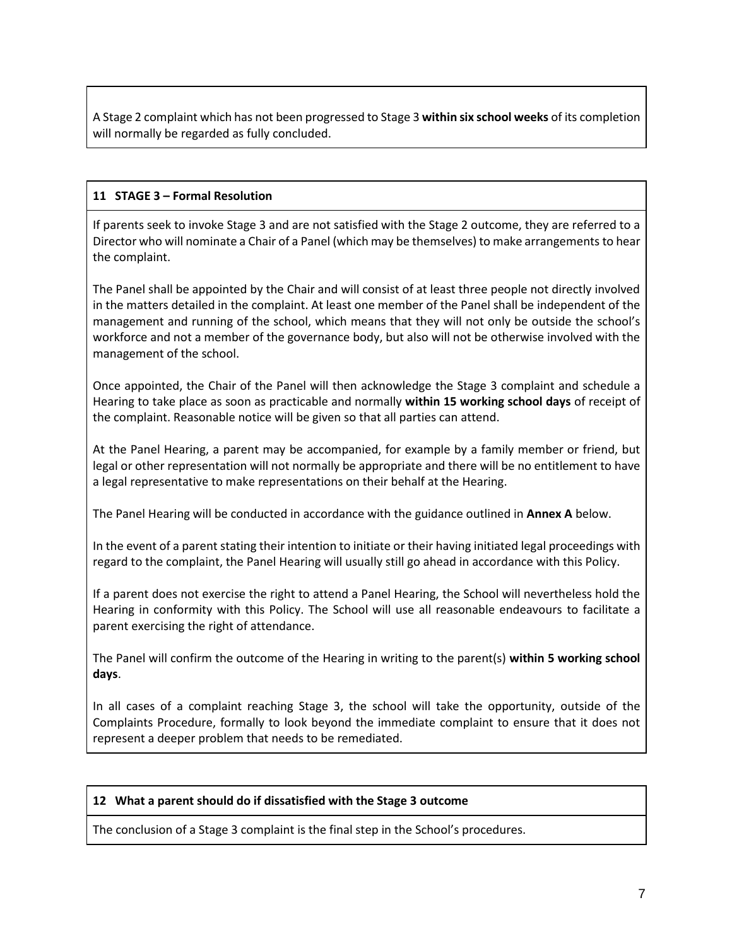A Stage 2 complaint which has not been progressed to Stage 3 **within six school weeks** of its completion will normally be regarded as fully concluded.

# **11 STAGE 3 – Formal Resolution**

If parents seek to invoke Stage 3 and are not satisfied with the Stage 2 outcome, they are referred to a Director who will nominate a Chair of a Panel (which may be themselves) to make arrangements to hear the complaint.

The Panel shall be appointed by the Chair and will consist of at least three people not directly involved in the matters detailed in the complaint. At least one member of the Panel shall be independent of the management and running of the school, which means that they will not only be outside the school's workforce and not a member of the governance body, but also will not be otherwise involved with the management of the school.

Once appointed, the Chair of the Panel will then acknowledge the Stage 3 complaint and schedule a Hearing to take place as soon as practicable and normally **within 15 working school days** of receipt of the complaint. Reasonable notice will be given so that all parties can attend.

At the Panel Hearing, a parent may be accompanied, for example by a family member or friend, but legal or other representation will not normally be appropriate and there will be no entitlement to have a legal representative to make representations on their behalf at the Hearing.

The Panel Hearing will be conducted in accordance with the guidance outlined in **Annex A** below.

In the event of a parent stating their intention to initiate or their having initiated legal proceedings with regard to the complaint, the Panel Hearing will usually still go ahead in accordance with this Policy.

If a parent does not exercise the right to attend a Panel Hearing, the School will nevertheless hold the Hearing in conformity with this Policy. The School will use all reasonable endeavours to facilitate a parent exercising the right of attendance.

The Panel will confirm the outcome of the Hearing in writing to the parent(s) **within 5 working school days**.

In all cases of a complaint reaching Stage 3, the school will take the opportunity, outside of the Complaints Procedure, formally to look beyond the immediate complaint to ensure that it does not represent a deeper problem that needs to be remediated.

#### **12 What a parent should do if dissatisfied with the Stage 3 outcome**

The conclusion of a Stage 3 complaint is the final step in the School's procedures.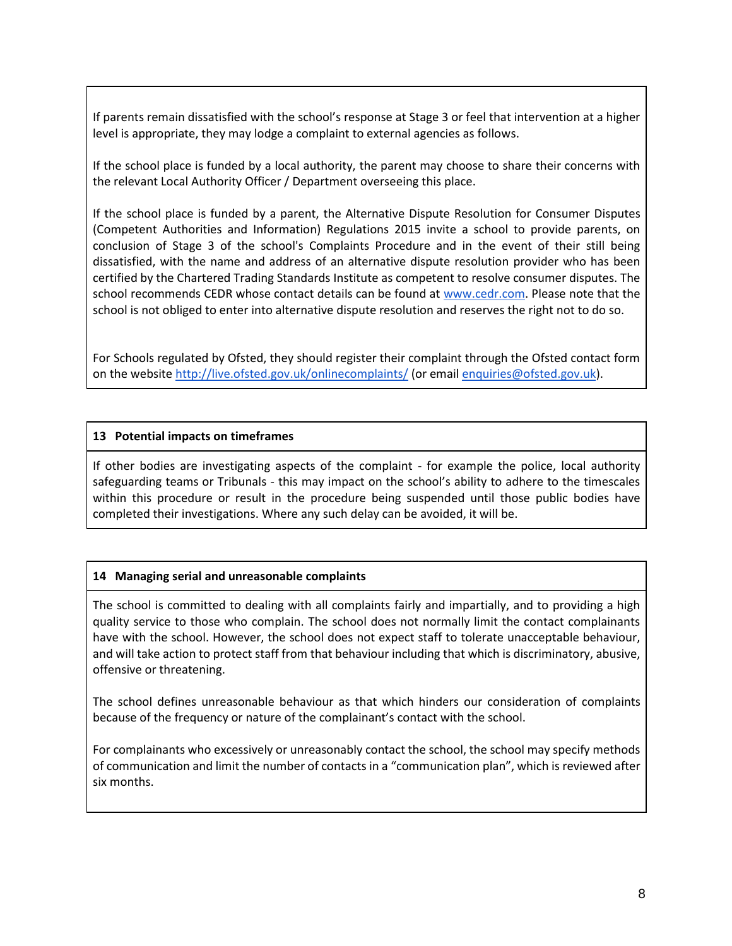If parents remain dissatisfied with the school's response at Stage 3 or feel that intervention at a higher level is appropriate, they may lodge a complaint to external agencies as follows.

If the school place is funded by a local authority, the parent may choose to share their concerns with the relevant Local Authority Officer / Department overseeing this place.

If the school place is funded by a parent, the Alternative Dispute Resolution for Consumer Disputes (Competent Authorities and Information) Regulations 2015 invite a school to provide parents, on conclusion of Stage 3 of the school's Complaints Procedure and in the event of their still being dissatisfied, with the name and address of an alternative dispute resolution provider who has been certified by the Chartered Trading Standards Institute as competent to resolve consumer disputes. The school recommends CEDR whose contact details can be found at [www.cedr.com.](http://www.cedr.com/) Please note that the school is not obliged to enter into alternative dispute resolution and reserves the right not to do so.

For Schools regulated by Ofsted, they should register their complaint through the Ofsted contact form on the websit[e http://live.ofsted.gov.uk/onlinecomplaints/](http://live.ofsted.gov.uk/onlinecomplaints/) (or emai[l enquiries@ofsted.gov.uk\)](mailto:enquiries@ofsted.gov.uk).

#### **13 Potential impacts on timeframes**

If other bodies are investigating aspects of the complaint - for example the police, local authority safeguarding teams or Tribunals - this may impact on the school's ability to adhere to the timescales within this procedure or result in the procedure being suspended until those public bodies have completed their investigations. Where any such delay can be avoided, it will be.

#### **14 Managing serial and unreasonable complaints**

The school is committed to dealing with all complaints fairly and impartially, and to providing a high quality service to those who complain. The school does not normally limit the contact complainants have with the school. However, the school does not expect staff to tolerate unacceptable behaviour, and will take action to protect staff from that behaviour including that which is discriminatory, abusive, offensive or threatening.

The school defines unreasonable behaviour as that which hinders our consideration of complaints because of the frequency or nature of the complainant's contact with the school.

For complainants who excessively or unreasonably contact the school, the school may specify methods of communication and limit the number of contacts in a "communication plan", which is reviewed after six months.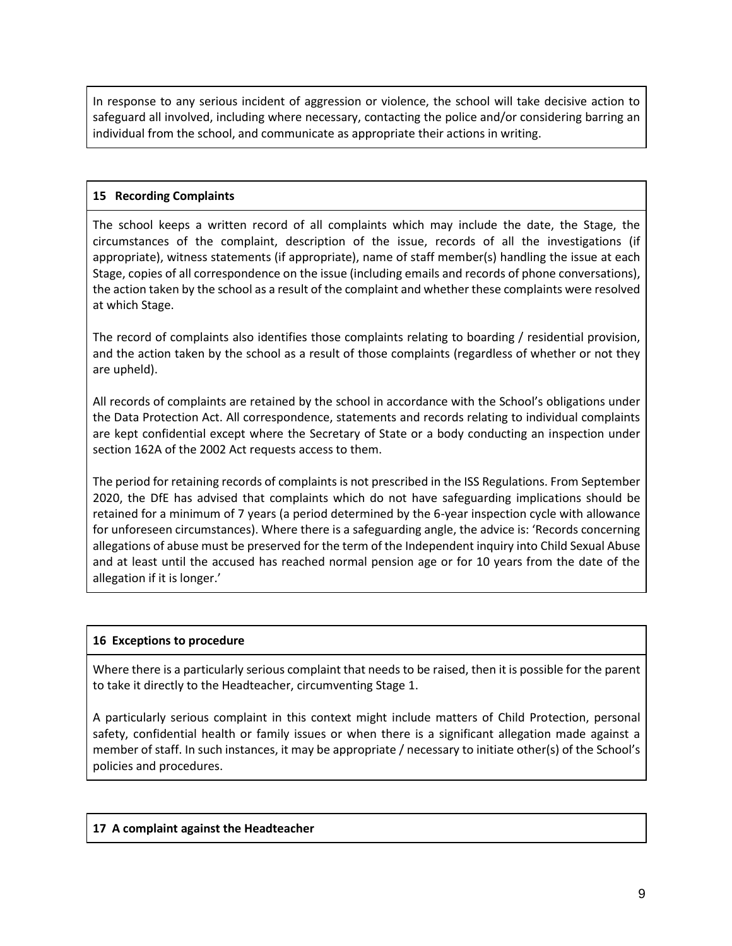In response to any serious incident of aggression or violence, the school will take decisive action to safeguard all involved, including where necessary, contacting the police and/or considering barring an individual from the school, and communicate as appropriate their actions in writing.

### **15 Recording Complaints**

The school keeps a written record of all complaints which may include the date, the Stage, the circumstances of the complaint, description of the issue, records of all the investigations (if appropriate), witness statements (if appropriate), name of staff member(s) handling the issue at each Stage, copies of all correspondence on the issue (including emails and records of phone conversations), the action taken by the school as a result of the complaint and whether these complaints were resolved at which Stage.

The record of complaints also identifies those complaints relating to boarding / residential provision, and the action taken by the school as a result of those complaints (regardless of whether or not they are upheld).

All records of complaints are retained by the school in accordance with the School's obligations under the Data Protection Act. All correspondence, statements and records relating to individual complaints are kept confidential except where the Secretary of State or a body conducting an inspection under section 162A of the 2002 Act requests access to them.

The period for retaining records of complaints is not prescribed in the ISS Regulations. From September 2020, the DfE has advised that complaints which do not have safeguarding implications should be retained for a minimum of 7 years (a period determined by the 6-year inspection cycle with allowance for unforeseen circumstances). Where there is a safeguarding angle, the advice is: 'Records concerning allegations of abuse must be preserved for the term of the Independent inquiry into Child Sexual Abuse and at least until the accused has reached normal pension age or for 10 years from the date of the allegation if it is longer.'

#### **16 Exceptions to procedure**

Where there is a particularly serious complaint that needs to be raised, then it is possible for the parent to take it directly to the Headteacher, circumventing Stage 1.

A particularly serious complaint in this context might include matters of Child Protection, personal safety, confidential health or family issues or when there is a significant allegation made against a member of staff. In such instances, it may be appropriate / necessary to initiate other(s) of the School's policies and procedures.

#### **17 A complaint against the Headteacher**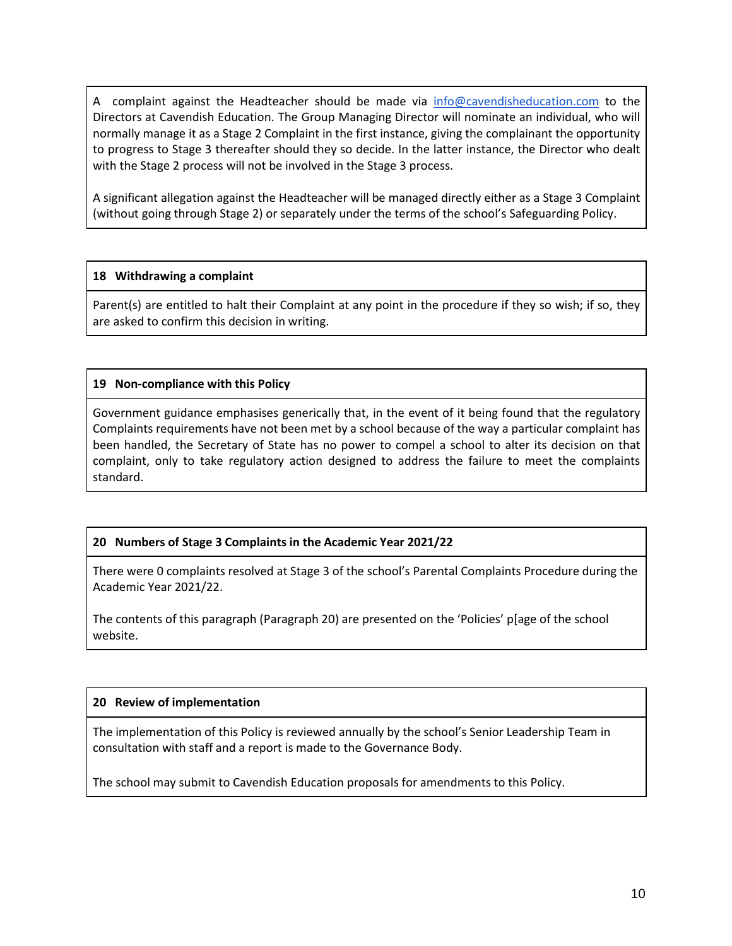A complaint against the Headteacher should be made via [info@cavendisheducation.com](mailto:info@cavendisheducation.com) to the Directors at Cavendish Education. The Group Managing Director will nominate an individual, who will normally manage it as a Stage 2 Complaint in the first instance, giving the complainant the opportunity to progress to Stage 3 thereafter should they so decide. In the latter instance, the Director who dealt with the Stage 2 process will not be involved in the Stage 3 process.

A significant allegation against the Headteacher will be managed directly either as a Stage 3 Complaint (without going through Stage 2) or separately under the terms of the school's Safeguarding Policy.

#### **18 Withdrawing a complaint**

Parent(s) are entitled to halt their Complaint at any point in the procedure if they so wish; if so, they are asked to confirm this decision in writing.

#### **19 Non-compliance with this Policy**

Government guidance emphasises generically that, in the event of it being found that the regulatory Complaints requirements have not been met by a school because of the way a particular complaint has been handled, the Secretary of State has no power to compel a school to alter its decision on that complaint, only to take regulatory action designed to address the failure to meet the complaints standard.

# **20 Numbers of Stage 3 Complaints in the Academic Year 2021/22**

There were 0 complaints resolved at Stage 3 of the school's Parental Complaints Procedure during the Academic Year 2021/22.

The contents of this paragraph (Paragraph 20) are presented on the 'Policies' p[age of the school website.

# **20 Review of implementation**

The implementation of this Policy is reviewed annually by the school's Senior Leadership Team in consultation with staff and a report is made to the Governance Body.

The school may submit to Cavendish Education proposals for amendments to this Policy.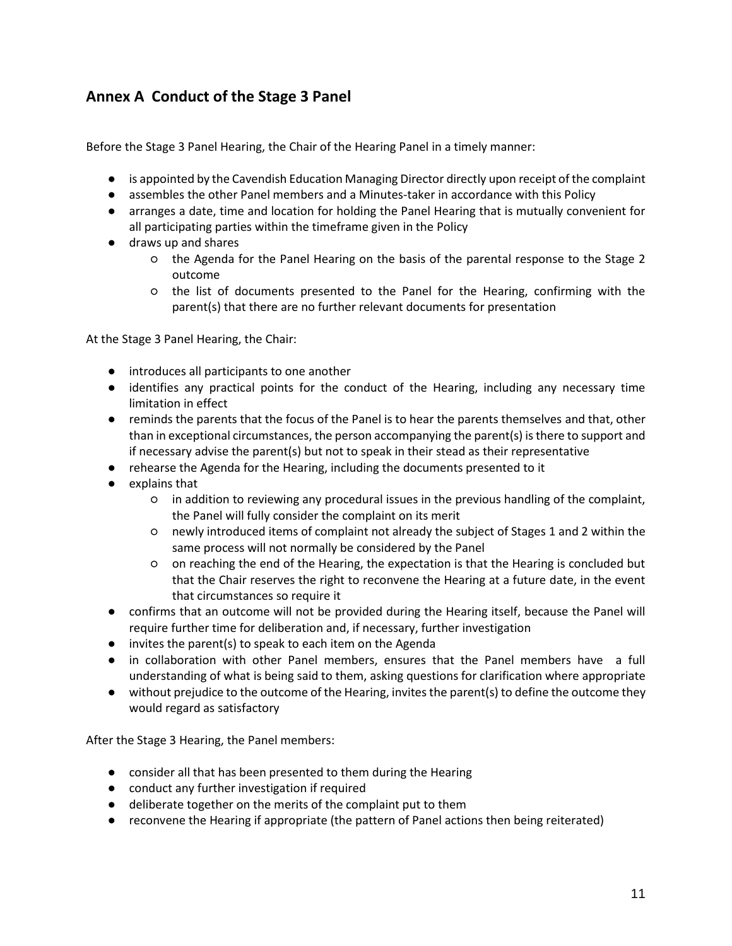# **Annex A Conduct of the Stage 3 Panel**

Before the Stage 3 Panel Hearing, the Chair of the Hearing Panel in a timely manner:

- is appointed by the Cavendish Education Managing Director directly upon receipt of the complaint
- assembles the other Panel members and a Minutes-taker in accordance with this Policy
- arranges a date, time and location for holding the Panel Hearing that is mutually convenient for all participating parties within the timeframe given in the Policy
- draws up and shares
	- the Agenda for the Panel Hearing on the basis of the parental response to the Stage 2 outcome
	- the list of documents presented to the Panel for the Hearing, confirming with the parent(s) that there are no further relevant documents for presentation

At the Stage 3 Panel Hearing, the Chair:

- introduces all participants to one another
- identifies any practical points for the conduct of the Hearing, including any necessary time limitation in effect
- reminds the parents that the focus of the Panel is to hear the parents themselves and that, other than in exceptional circumstances, the person accompanying the parent(s) is there to support and if necessary advise the parent(s) but not to speak in their stead as their representative
- rehearse the Agenda for the Hearing, including the documents presented to it
- explains that
	- in addition to reviewing any procedural issues in the previous handling of the complaint, the Panel will fully consider the complaint on its merit
	- newly introduced items of complaint not already the subject of Stages 1 and 2 within the same process will not normally be considered by the Panel
	- on reaching the end of the Hearing, the expectation is that the Hearing is concluded but that the Chair reserves the right to reconvene the Hearing at a future date, in the event that circumstances so require it
- confirms that an outcome will not be provided during the Hearing itself, because the Panel will require further time for deliberation and, if necessary, further investigation
- invites the parent(s) to speak to each item on the Agenda
- in collaboration with other Panel members, ensures that the Panel members have a full understanding of what is being said to them, asking questions for clarification where appropriate
- without prejudice to the outcome of the Hearing, invites the parent(s) to define the outcome they would regard as satisfactory

After the Stage 3 Hearing, the Panel members:

- consider all that has been presented to them during the Hearing
- conduct any further investigation if required
- deliberate together on the merits of the complaint put to them
- reconvene the Hearing if appropriate (the pattern of Panel actions then being reiterated)